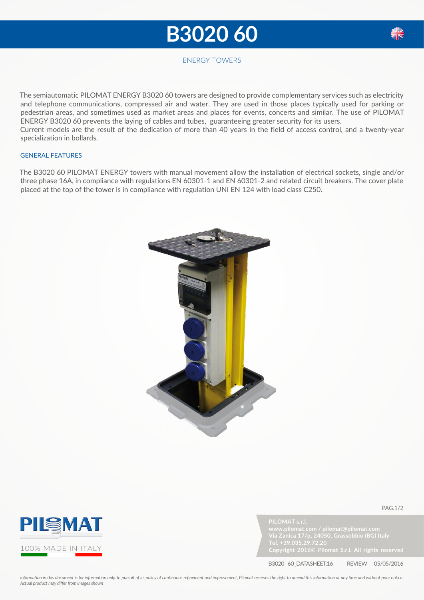## **B3020 60**



## ENERGY TOWERS

The semiautomatic PILOMAT ENERGY B3020 60 towers are designed to provide complementary services such as electricity and telephone communications, compressed air and water. They are used in those places typically used for parking or pedestrian areas, and sometimes used as market areas and places for events, concerts and similar. The use of PILOMAT ENERGY B3020 60 prevents the laying of cables and tubes, guaranteeing greater security for its users. Current models are the result of the dedication of more than 40 years in the field of access control, and a twenty-year specialization in bollards.

## GENERAL FEATURES

The B3020 60 PILOMAT ENERGY towers with manual movement allow the installation of electrical sockets, single and/or three phase 16A, in compliance with regulations EN 60301-1 and EN 60301-2 and related circuit breakers. The cover plate placed at the top of the tower is in compliance with regulation UNI EN 124 with load class C250.





**PILOMAT s.r.l.**



pag.1/2

B3020 60\_DATASHEET.16 REVIEW 05/05/2016

*Information in this document is for information only. In pursuit of its policy of continuous refinement and improvement, Pilomat reserves the right to amend this information at any time and without prior notice. Actual product may differ from images shown*